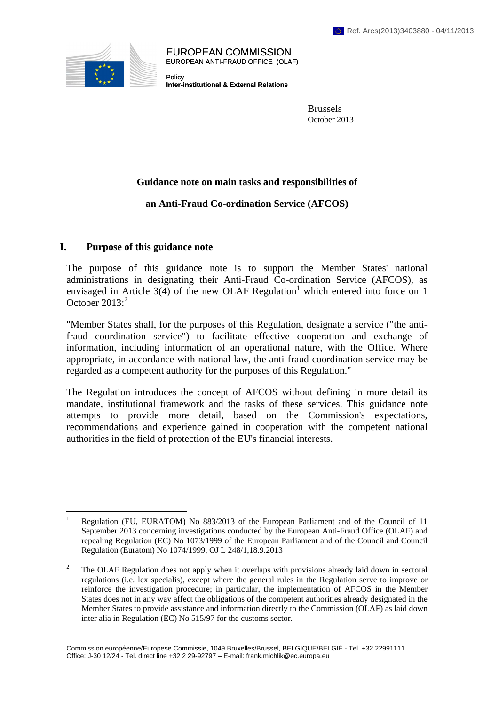

EUROPEAN COMMISSION EUROPEAN ANTI-FRAUD OFFICE (OLAF)

Policy **Inter-institutional & External Relations**

> Brussels October 2013

## **Guidance note on main tasks and responsibilities of**

# **an Anti-Fraud Co-ordination Service (AFCOS)**

### **I. Purpose of this guidance note**

The purpose of this guidance note is to support the Member States' national administrations in designating their Anti-Fraud Co-ordination Service (AFCOS), as envisaged in Article 3(4) of the new OLAF Regulation<sup>1</sup> which entered into force on 1 October  $2013$ :<sup>2</sup>

"Member States shall, for the purposes of this Regulation, designate a service ("the antifraud coordination service") to facilitate effective cooperation and exchange of information, including information of an operational nature, with the Office. Where appropriate, in accordance with national law, the anti-fraud coordination service may be regarded as a competent authority for the purposes of this Regulation."

The Regulation introduces the concept of AFCOS without defining in more detail its mandate, institutional framework and the tasks of these services. This guidance note attempts to provide more detail, based on the Commission's expectations, recommendations and experience gained in cooperation with the competent national authorities in the field of protection of the EU's financial interests.

 $\frac{1}{1}$  Regulation (EU, EURATOM) No 883/2013 of the European Parliament and of the Council of 11 September 2013 concerning investigations conducted by the European Anti-Fraud Office (OLAF) and repealing Regulation (EC) No 1073/1999 of the European Parliament and of the Council and Council Regulation (Euratom) No 1074/1999, OJ L 248/1,18.9.2013

<sup>&</sup>lt;sup>2</sup> The OLAF Regulation does not apply when it overlaps with provisions already laid down in sectoral regulations (i.e. lex specialis), except where the general rules in the Regulation serve to improve or reinforce the investigation procedure; in particular, the implementation of AFCOS in the Member States does not in any way affect the obligations of the competent authorities already designated in the Member States to provide assistance and information directly to the Commission (OLAF) as laid down inter alia in Regulation (EC) No 515/97 for the customs sector.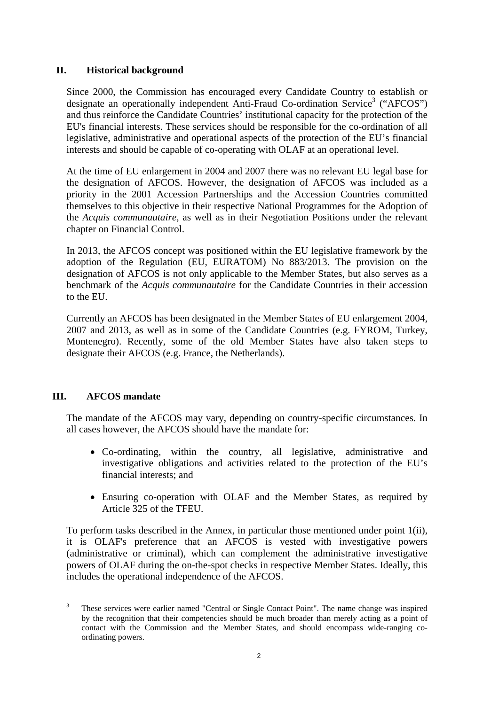## **II. Historical background**

Since 2000, the Commission has encouraged every Candidate Country to establish or designate an operationally independent Anti-Fraud Co-ordination Service<sup>3</sup> ("AFCOS") and thus reinforce the Candidate Countries' institutional capacity for the protection of the EU's financial interests. These services should be responsible for the co-ordination of all legislative, administrative and operational aspects of the protection of the EU's financial interests and should be capable of co-operating with OLAF at an operational level.

At the time of EU enlargement in 2004 and 2007 there was no relevant EU legal base for the designation of AFCOS. However, the designation of AFCOS was included as a priority in the 2001 Accession Partnerships and the Accession Countries committed themselves to this objective in their respective National Programmes for the Adoption of the *Acquis communautaire*, as well as in their Negotiation Positions under the relevant chapter on Financial Control.

In 2013, the AFCOS concept was positioned within the EU legislative framework by the adoption of the Regulation (EU, EURATOM) No 883/2013. The provision on the designation of AFCOS is not only applicable to the Member States, but also serves as a benchmark of the *Acquis communautaire* for the Candidate Countries in their accession to the EU.

Currently an AFCOS has been designated in the Member States of EU enlargement 2004, 2007 and 2013, as well as in some of the Candidate Countries (e.g. FYROM, Turkey, Montenegro). Recently, some of the old Member States have also taken steps to designate their AFCOS (e.g. France, the Netherlands).

# **III. AFCOS mandate**

The mandate of the AFCOS may vary, depending on country-specific circumstances. In all cases however, the AFCOS should have the mandate for:

- Co-ordinating, within the country, all legislative, administrative and investigative obligations and activities related to the protection of the EU's financial interests; and
- Ensuring co-operation with OLAF and the Member States, as required by Article 325 of the TFEU.

To perform tasks described in the Annex, in particular those mentioned under point 1(ii), it is OLAF's preference that an AFCOS is vested with investigative powers (administrative or criminal), which can complement the administrative investigative powers of OLAF during the on-the-spot checks in respective Member States. Ideally, this includes the operational independence of the AFCOS.

 3 These services were earlier named "Central or Single Contact Point". The name change was inspired by the recognition that their competencies should be much broader than merely acting as a point of contact with the Commission and the Member States, and should encompass wide-ranging coordinating powers.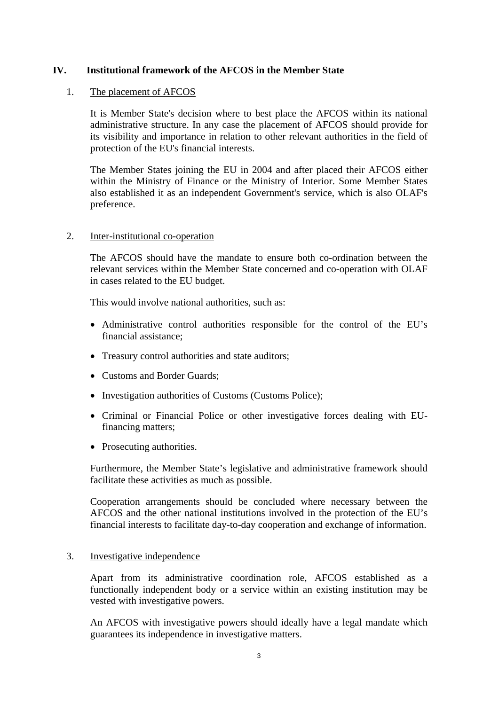## **IV. Institutional framework of the AFCOS in the Member State**

### 1. The placement of AFCOS

It is Member State's decision where to best place the AFCOS within its national administrative structure. In any case the placement of AFCOS should provide for its visibility and importance in relation to other relevant authorities in the field of protection of the EU's financial interests.

The Member States joining the EU in 2004 and after placed their AFCOS either within the Ministry of Finance or the Ministry of Interior. Some Member States also established it as an independent Government's service, which is also OLAF's preference.

### 2. Inter-institutional co-operation

The AFCOS should have the mandate to ensure both co-ordination between the relevant services within the Member State concerned and co-operation with OLAF in cases related to the EU budget.

This would involve national authorities, such as:

- Administrative control authorities responsible for the control of the EU's financial assistance;
- Treasury control authorities and state auditors;
- Customs and Border Guards:
- Investigation authorities of Customs (Customs Police);
- Criminal or Financial Police or other investigative forces dealing with EUfinancing matters;
- Prosecuting authorities.

Furthermore, the Member State's legislative and administrative framework should facilitate these activities as much as possible.

Cooperation arrangements should be concluded where necessary between the AFCOS and the other national institutions involved in the protection of the EU's financial interests to facilitate day-to-day cooperation and exchange of information.

### 3. Investigative independence

Apart from its administrative coordination role, AFCOS established as a functionally independent body or a service within an existing institution may be vested with investigative powers.

An AFCOS with investigative powers should ideally have a legal mandate which guarantees its independence in investigative matters.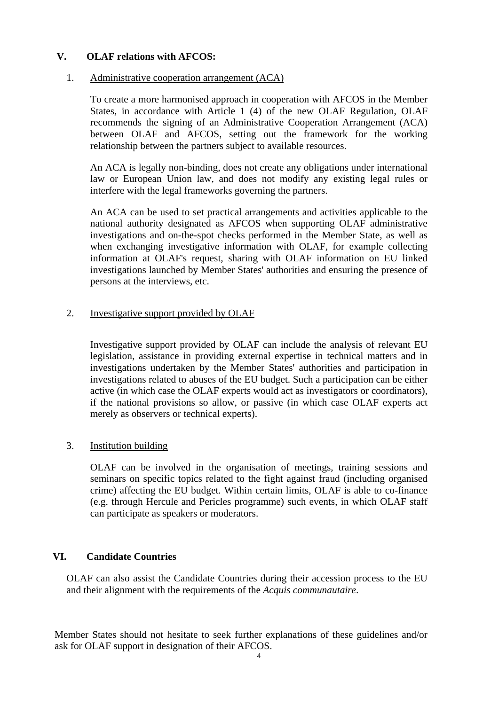# **V. OLAF relations with AFCOS:**

#### 1. Administrative cooperation arrangement (ACA)

To create a more harmonised approach in cooperation with AFCOS in the Member States, in accordance with Article 1 (4) of the new OLAF Regulation, OLAF recommends the signing of an Administrative Cooperation Arrangement (ACA) between OLAF and AFCOS, setting out the framework for the working relationship between the partners subject to available resources.

An ACA is legally non-binding, does not create any obligations under international law or European Union law, and does not modify any existing legal rules or interfere with the legal frameworks governing the partners.

An ACA can be used to set practical arrangements and activities applicable to the national authority designated as AFCOS when supporting OLAF administrative investigations and on-the-spot checks performed in the Member State, as well as when exchanging investigative information with OLAF, for example collecting information at OLAF's request, sharing with OLAF information on EU linked investigations launched by Member States' authorities and ensuring the presence of persons at the interviews, etc.

### 2. Investigative support provided by OLAF

Investigative support provided by OLAF can include the analysis of relevant EU legislation, assistance in providing external expertise in technical matters and in investigations undertaken by the Member States' authorities and participation in investigations related to abuses of the EU budget. Such a participation can be either active (in which case the OLAF experts would act as investigators or coordinators), if the national provisions so allow, or passive (in which case OLAF experts act merely as observers or technical experts).

3. Institution building

OLAF can be involved in the organisation of meetings, training sessions and seminars on specific topics related to the fight against fraud (including organised crime) affecting the EU budget. Within certain limits, OLAF is able to co-finance (e.g. through Hercule and Pericles programme) such events, in which OLAF staff can participate as speakers or moderators.

## **VI. Candidate Countries**

OLAF can also assist the Candidate Countries during their accession process to the EU and their alignment with the requirements of the *Acquis communautaire*.

Member States should not hesitate to seek further explanations of these guidelines and/or ask for OLAF support in designation of their AFCOS.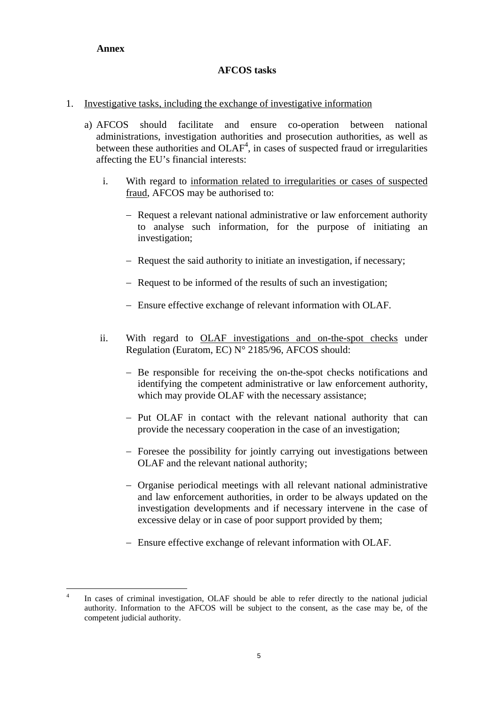## **Annex**

## **AFCOS tasks**

### 1. Investigative tasks, including the exchange of investigative information

- a) AFCOS should facilitate and ensure co-operation between national administrations, investigation authorities and prosecution authorities, as well as between these authorities and  $OLAF<sup>4</sup>$ , in cases of suspected fraud or irregularities affecting the EU's financial interests:
	- i. With regard to information related to irregularities or cases of suspected fraud, AFCOS may be authorised to:
		- − Request a relevant national administrative or law enforcement authority to analyse such information, for the purpose of initiating an investigation;
		- − Request the said authority to initiate an investigation, if necessary;
		- − Request to be informed of the results of such an investigation;
		- − Ensure effective exchange of relevant information with OLAF.
	- ii. With regard to OLAF investigations and on-the-spot checks under Regulation (Euratom, EC) N° 2185/96, AFCOS should:
		- − Be responsible for receiving the on-the-spot checks notifications and identifying the competent administrative or law enforcement authority, which may provide OLAF with the necessary assistance;
		- − Put OLAF in contact with the relevant national authority that can provide the necessary cooperation in the case of an investigation;
		- − Foresee the possibility for jointly carrying out investigations between OLAF and the relevant national authority;
		- − Organise periodical meetings with all relevant national administrative and law enforcement authorities, in order to be always updated on the investigation developments and if necessary intervene in the case of excessive delay or in case of poor support provided by them;
		- − Ensure effective exchange of relevant information with OLAF.

 $\overline{4}$ In cases of criminal investigation, OLAF should be able to refer directly to the national judicial authority. Information to the AFCOS will be subject to the consent, as the case may be, of the competent judicial authority.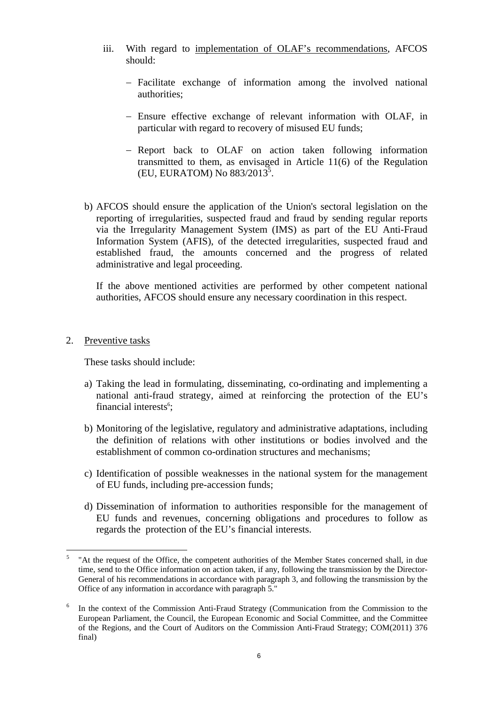- iii. With regard to implementation of OLAF's recommendations, AFCOS should:
	- − Facilitate exchange of information among the involved national authorities;
	- − Ensure effective exchange of relevant information with OLAF, in particular with regard to recovery of misused EU funds;
	- − Report back to OLAF on action taken following information transmitted to them, as envisaged in Article 11(6) of the Regulation  $(EU, EURATOM)$  No  $883/2013^5$ .
- b) AFCOS should ensure the application of the Union's sectoral legislation on the reporting of irregularities, suspected fraud and fraud by sending regular reports via the Irregularity Management System (IMS) as part of the EU Anti-Fraud Information System (AFIS), of the detected irregularities, suspected fraud and established fraud, the amounts concerned and the progress of related administrative and legal proceeding.

If the above mentioned activities are performed by other competent national authorities, AFCOS should ensure any necessary coordination in this respect.

## 2. Preventive tasks

These tasks should include:

- a) Taking the lead in formulating, disseminating, co-ordinating and implementing a national anti-fraud strategy, aimed at reinforcing the protection of the EU's financial interests<sup>6</sup>;
- b) Monitoring of the legislative, regulatory and administrative adaptations, including the definition of relations with other institutions or bodies involved and the establishment of common co-ordination structures and mechanisms;
- c) Identification of possible weaknesses in the national system for the management of EU funds, including pre-accession funds;
- d) Dissemination of information to authorities responsible for the management of EU funds and revenues, concerning obligations and procedures to follow as regards the protection of the EU's financial interests.

 $\overline{a}$ 5 "At the request of the Office, the competent authorities of the Member States concerned shall, in due time, send to the Office information on action taken, if any, following the transmission by the Director-General of his recommendations in accordance with paragraph 3, and following the transmission by the Office of any information in accordance with paragraph 5."

<sup>6</sup> In the context of the Commission Anti-Fraud Strategy (Communication from the Commission to the European Parliament, the Council, the European Economic and Social Committee, and the Committee of the Regions, and the Court of Auditors on the Commission Anti-Fraud Strategy; COM(2011) 376 final)